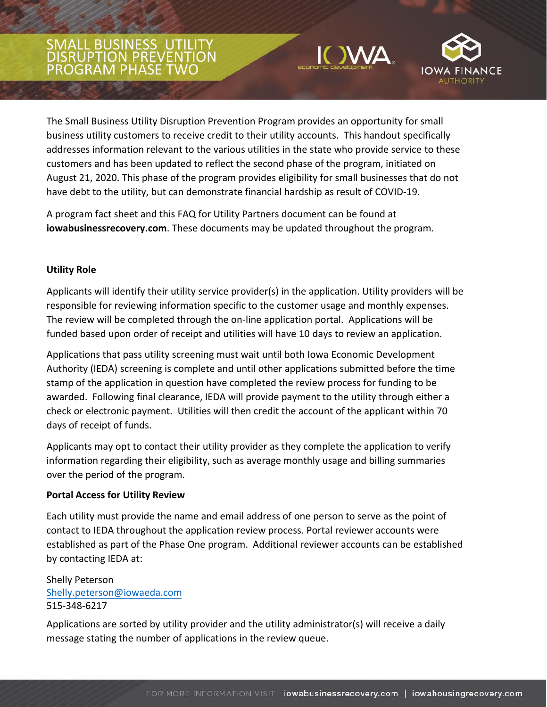# SMALL BUSINESS UTILITY DISRUPTION PREVENTION PROGRAM PHASE TWO





The Small Business Utility Disruption Prevention Program provides an opportunity for small business utility customers to receive credit to their utility accounts. This handout specifically addresses information relevant to the various utilities in the state who provide service to these customers and has been updated to reflect the second phase of the program, initiated on August 21, 2020. This phase of the program provides eligibility for small businesses that do not have debt to the utility, but can demonstrate financial hardship as result of COVID-19.

A program fact sheet and this FAQ for Utility Partners document can be found at **iowabusinessrecovery.com**. These documents may be updated throughout the program.

### **Utility Role**

Applicants will identify their utility service provider(s) in the application. Utility providers will be responsible for reviewing information specific to the customer usage and monthly expenses. The review will be completed through the on-line application portal. Applications will be funded based upon order of receipt and utilities will have 10 days to review an application.

Applications that pass utility screening must wait until both Iowa Economic Development Authority (IEDA) screening is complete and until other applications submitted before the time stamp of the application in question have completed the review process for funding to be awarded. Following final clearance, IEDA will provide payment to the utility through either a check or electronic payment. Utilities will then credit the account of the applicant within 70 days of receipt of funds.

Applicants may opt to contact their utility provider as they complete the application to verify information regarding their eligibility, such as average monthly usage and billing summaries over the period of the program.

#### **Portal Access for Utility Review**

Each utility must provide the name and email address of one person to serve as the point of contact to IEDA throughout the application review process. Portal reviewer accounts were established as part of the Phase One program. Additional reviewer accounts can be established by contacting IEDA at:

She[lly Peterson](mailto:Shelly.peterson@iowaeda.com)  Shelly.peterson@iowaeda.com 515-348-6217

Applications are sorted by utility provider and the utility administrator(s) will receive a daily message stating the number of applications in the review queue.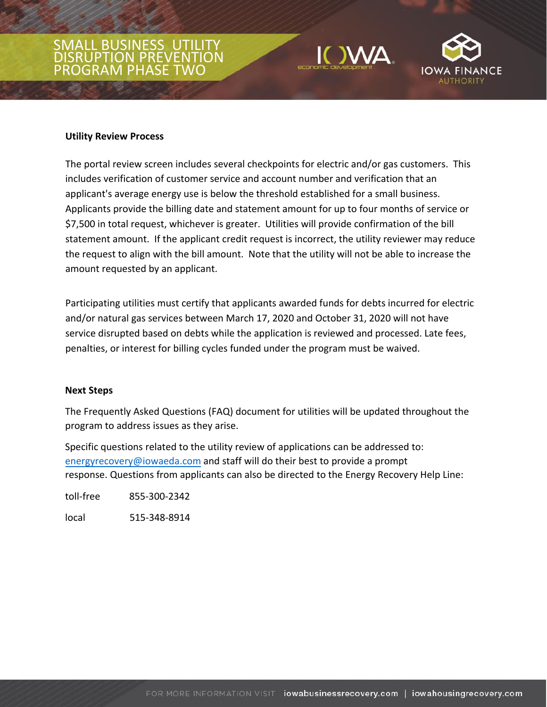# SMALL BUSINESS UTILITY DISRUPTION PREVENTION PROGRAM PHASE TWO





#### **Utility Review Process**

The portal review screen includes several checkpoints for electric and/or gas customers. This includes verification of customer service and account number and verification that an applicant's average energy use is below the threshold established for a small business. Applicants provide the billing date and statement amount for up to four months of service or \$7,500 in total request, whichever is greater. Utilities will provide confirmation of the bill statement amount. If the applicant credit request is incorrect, the utility reviewer may reduce the request to align with the bill amount. Note that the utility will not be able to increase the amount requested by an applicant.

Participating utilities must certify that applicants awarded funds for debts incurred for electric and/or natural gas services between March 17, 2020 and October 31, 2020 will not have service disrupted based on debts while the application is reviewed and processed. Late fees, penalties, or interest for billing cycles funded under the program must be waived.

#### **Next Steps**

The Frequently Asked Questions (FAQ) document for utilities will be updated throughout the program to address issues as they arise.

Specific questions related to the utility review of applications can be addressed to: energyrecovery@iowaeda.com and staff will do their best to provide a prompt response. Questions from applicants can also be directed to the Energy Recovery Help Line:

toll-free 855-300-2342

local 515-348-8914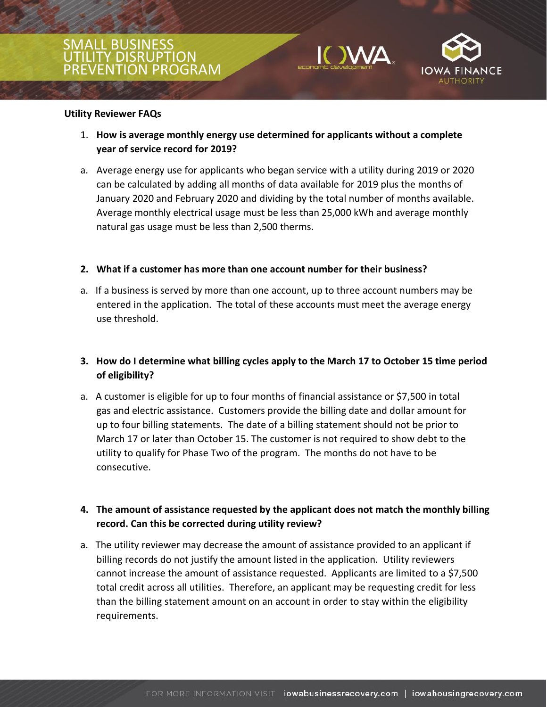# L BUSINE LITY DISRUPTION N PROGRAM





#### **Utility Reviewer FAQs**

- 1. **How is average monthly energy use determined for applicants without a complete year of service record for 2019?**
- a. Average energy use for applicants who began service with a utility during 2019 or 2020 can be calculated by adding all months of data available for 2019 plus the months of January 2020 and February 2020 and dividing by the total number of months available. Average monthly electrical usage must be less than 25,000 kWh and average monthly natural gas usage must be less than 2,500 therms.

### **2. What if a customer has more than one account number for their business?**

a. If a business is served by more than one account, up to three account numbers may be entered in the application. The total of these accounts must meet the average energy use threshold.

# **3. How do I determine what billing cycles apply to the March 17 to October 15 time period of eligibility?**

a. A customer is eligible for up to four months of financial assistance or \$7,500 in total gas and electric assistance. Customers provide the billing date and dollar amount for up to four billing statements. The date of a billing statement should not be prior to March 17 or later than October 15. The customer is not required to show debt to the utility to qualify for Phase Two of the program. The months do not have to be consecutive.

## **4. The amount of assistance requested by the applicant does not match the monthly billing record. Can this be corrected during utility review?**

a. The utility reviewer may decrease the amount of assistance provided to an applicant if billing records do not justify the amount listed in the application. Utility reviewers cannot increase the amount of assistance requested. Applicants are limited to a \$7,500 total credit across all utilities. Therefore, an applicant may be requesting credit for less than the billing statement amount on an account in order to stay within the eligibility requirements.